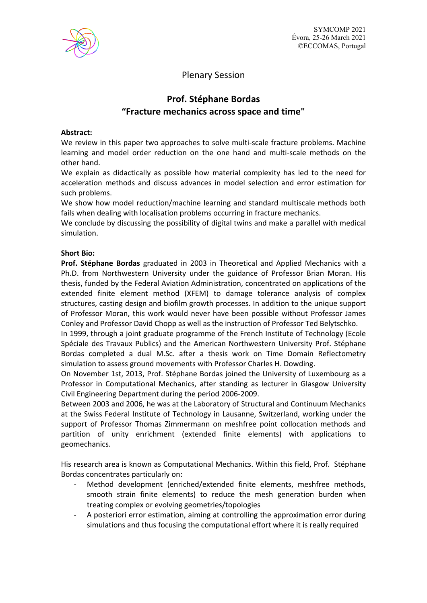

## Plenary Session

## **Prof. Stéphane Bordas "Fracture mechanics across space and time"**

## **Abstract:**

We review in this paper two approaches to solve multi-scale fracture problems. Machine learning and model order reduction on the one hand and multi-scale methods on the other hand.

We explain as didactically as possible how material complexity has led to the need for acceleration methods and discuss advances in model selection and error estimation for such problems.

We show how model reduction/machine learning and standard multiscale methods both fails when dealing with localisation problems occurring in fracture mechanics.

We conclude by discussing the possibility of digital twins and make a parallel with medical simulation.

## **Short Bio:**

**Prof. Stéphane Bordas** graduated in 2003 in Theoretical and Applied Mechanics with a Ph.D. from Northwestern University under the guidance of Professor Brian Moran. His thesis, funded by the Federal Aviation Administration, concentrated on applications of the extended finite element method (XFEM) to damage tolerance analysis of complex structures, casting design and biofilm growth processes. In addition to the unique support of Professor Moran, this work would never have been possible without Professor James Conley and Professor David Chopp as well as the instruction of Professor Ted Belytschko.

In 1999, through a joint graduate programme of the French Institute of Technology (Ecole Spéciale des Travaux Publics) and the American Northwestern University Prof. Stéphane Bordas completed a dual M.Sc. after a thesis work on Time Domain Reflectometry simulation to assess ground movements with Professor Charles H. Dowding.

On November 1st, 2013, Prof. Stéphane Bordas joined the University of Luxembourg as a Professor in Computational Mechanics, after standing as lecturer in Glasgow University Civil Engineering Department during the period 2006-2009.

Between 2003 and 2006, he was at the Laboratory of Structural and Continuum Mechanics at the Swiss Federal Institute of Technology in Lausanne, Switzerland, working under the support of Professor Thomas Zimmermann on meshfree point collocation methods and partition of unity enrichment (extended finite elements) with applications to geomechanics.

His research area is known as Computational Mechanics. Within this field, Prof. Stéphane Bordas concentrates particularly on:

- Method development (enriched/extended finite elements, meshfree methods, smooth strain finite elements) to reduce the mesh generation burden when treating complex or evolving geometries/topologies
- A posteriori error estimation, aiming at controlling the approximation error during simulations and thus focusing the computational effort where it is really required